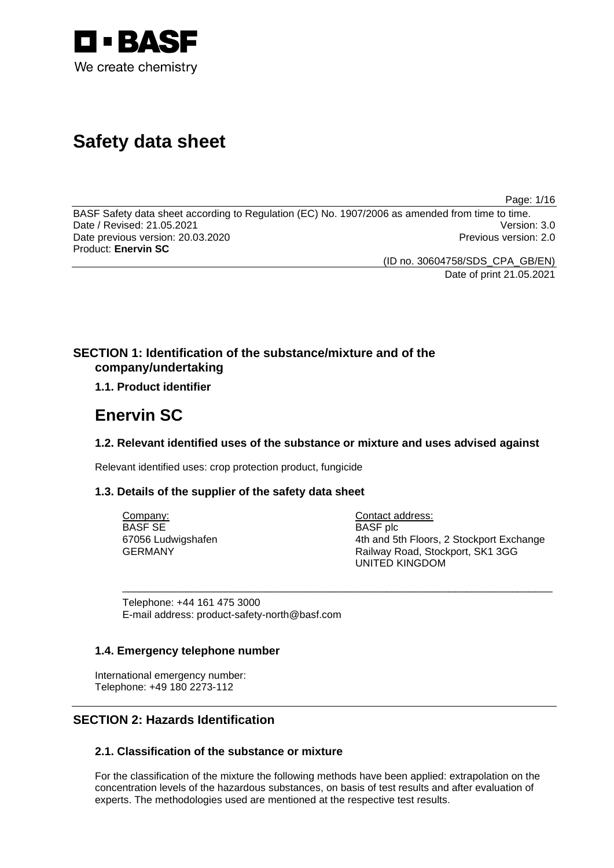

# **Safety data sheet**

Page: 1/16

BASF Safety data sheet according to Regulation (EC) No. 1907/2006 as amended from time to time. Date / Revised: 21.05.2021 Version: 3.0 Date previous version: 20.03.2020 **Previous version: 2.0** Previous version: 2.0 Product: **Enervin SC** 

(ID no. 30604758/SDS\_CPA\_GB/EN)

Date of print 21.05.2021

## **SECTION 1: Identification of the substance/mixture and of the company/undertaking**

## **1.1. Product identifier**

## **Enervin SC**

## **1.2. Relevant identified uses of the substance or mixture and uses advised against**

\_\_\_\_\_\_\_\_\_\_\_\_\_\_\_\_\_\_\_\_\_\_\_\_\_\_\_\_\_\_\_\_\_\_\_\_\_\_\_\_\_\_\_\_\_\_\_\_\_\_\_\_\_\_\_\_\_\_\_\_\_\_\_\_\_\_\_\_\_\_\_\_\_\_\_

Relevant identified uses: crop protection product, fungicide

## **1.3. Details of the supplier of the safety data sheet**

Company: BASF SE 67056 Ludwigshafen GERMANY

Contact address: BASF plc 4th and 5th Floors, 2 Stockport Exchange Railway Road, Stockport, SK1 3GG UNITED KINGDOM

Telephone: +44 161 475 3000 E-mail address: product-safety-north@basf.com

## **1.4. Emergency telephone number**

International emergency number: Telephone: +49 180 2273-112

## **SECTION 2: Hazards Identification**

## **2.1. Classification of the substance or mixture**

For the classification of the mixture the following methods have been applied: extrapolation on the concentration levels of the hazardous substances, on basis of test results and after evaluation of experts. The methodologies used are mentioned at the respective test results.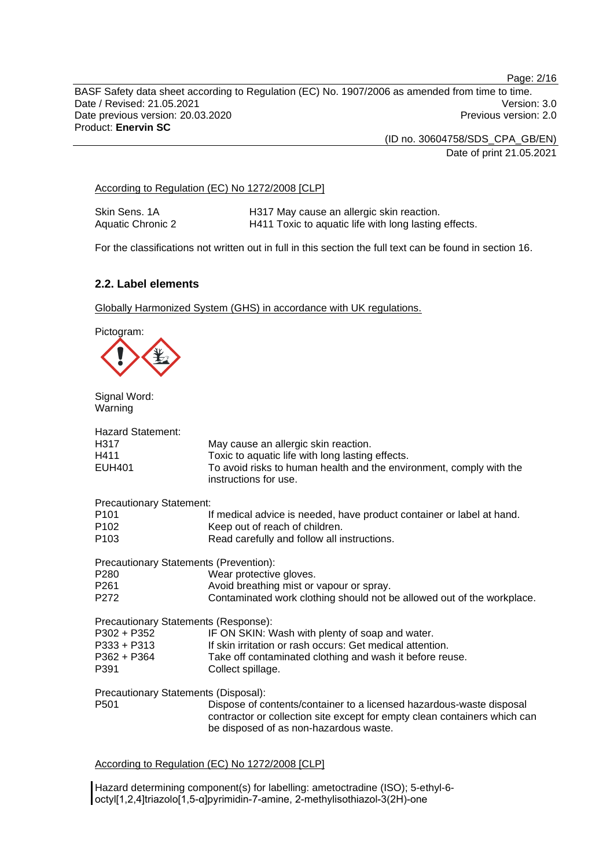Page: 2/16

BASF Safety data sheet according to Regulation (EC) No. 1907/2006 as amended from time to time. Date / Revised: 21.05.2021 Version: 3.0 Date previous version: 20.03.2020 **Previous version: 2.0** Previous version: 2.0 Product: **Enervin SC** 

> (ID no. 30604758/SDS\_CPA\_GB/EN) Date of print 21.05.2021

According to Regulation (EC) No 1272/2008 [CLP]

Skin Sens. 1A **H317 May cause an allergic skin reaction**.<br>Aquatic Chronic 2 **H411 Toxic to aquatic life with long lasting** H411 Toxic to aquatic life with long lasting effects.

For the classifications not written out in full in this section the full text can be found in section 16.

## **2.2. Label elements**

Globally Harmonized System (GHS) in accordance with UK regulations.

Pictogram:



Signal Word: Warning

| <b>Hazard Statement:</b><br>H317<br>H411<br><b>EUH401</b> | May cause an allergic skin reaction.<br>Toxic to aquatic life with long lasting effects.<br>To avoid risks to human health and the environment, comply with the                             |
|-----------------------------------------------------------|---------------------------------------------------------------------------------------------------------------------------------------------------------------------------------------------|
|                                                           | instructions for use.                                                                                                                                                                       |
| <b>Precautionary Statement:</b>                           |                                                                                                                                                                                             |
| P <sub>101</sub>                                          | If medical advice is needed, have product container or label at hand.                                                                                                                       |
| P102                                                      | Keep out of reach of children.                                                                                                                                                              |
| P <sub>103</sub>                                          | Read carefully and follow all instructions.                                                                                                                                                 |
| Precautionary Statements (Prevention):                    |                                                                                                                                                                                             |
| P280                                                      | Wear protective gloves.                                                                                                                                                                     |
| P <sub>261</sub>                                          | Avoid breathing mist or vapour or spray.                                                                                                                                                    |
| P272                                                      | Contaminated work clothing should not be allowed out of the workplace.                                                                                                                      |
| Precautionary Statements (Response):                      |                                                                                                                                                                                             |
| P302 + P352                                               | IF ON SKIN: Wash with plenty of soap and water.                                                                                                                                             |
| P333 + P313                                               | If skin irritation or rash occurs: Get medical attention.                                                                                                                                   |
| P362 + P364                                               | Take off contaminated clothing and wash it before reuse.                                                                                                                                    |
| P391                                                      | Collect spillage.                                                                                                                                                                           |
| Precautionary Statements (Disposal):                      |                                                                                                                                                                                             |
| P <sub>501</sub>                                          | Dispose of contents/container to a licensed hazardous-waste disposal<br>contractor or collection site except for empty clean containers which can<br>be disposed of as non-hazardous waste. |
|                                                           |                                                                                                                                                                                             |

According to Regulation (EC) No 1272/2008 [CLP]

Hazard determining component(s) for labelling: ametoctradine (ISO); 5-ethyl-6 octyl[1,2,4]triazolo[1,5-α]pyrimidin-7-amine, 2-methylisothiazol-3(2H)-one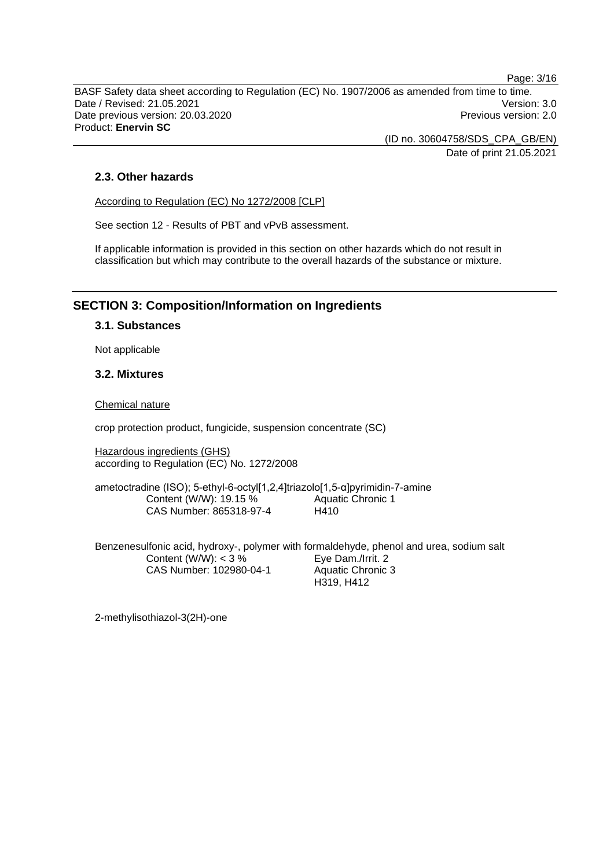BASF Safety data sheet according to Regulation (EC) No. 1907/2006 as amended from time to time. Date / Revised: 21.05.2021 **Version: 3.0** Date previous version: 20.03.2020 **Previous version: 2.0** Previous version: 2.0 Product: **Enervin SC** 

> (ID no. 30604758/SDS\_CPA\_GB/EN) Date of print 21.05.2021

## **2.3. Other hazards**

According to Regulation (EC) No 1272/2008 [CLP]

See section 12 - Results of PBT and vPvB assessment.

If applicable information is provided in this section on other hazards which do not result in classification but which may contribute to the overall hazards of the substance or mixture.

## **SECTION 3: Composition/Information on Ingredients**

## **3.1. Substances**

Not applicable

## **3.2. Mixtures**

#### Chemical nature

crop protection product, fungicide, suspension concentrate (SC)

Hazardous ingredients (GHS) according to Regulation (EC) No. 1272/2008

ametoctradine (ISO); 5-ethyl-6-octyl[1,2,4]triazolo[1,5-α]pyrimidin-7-amine Content (W/W): 19.15 % CAS Number: 865318-97-4 Aquatic Chronic 1 H410

Benzenesulfonic acid, hydroxy-, polymer with formaldehyde, phenol and urea, sodium salt Content (W/W):  $<$  3 % CAS Number: 102980-04-1 Eye Dam./Irrit. 2 Aquatic Chronic 3 H319, H412

2-methylisothiazol-3(2H)-one

Page: 3/16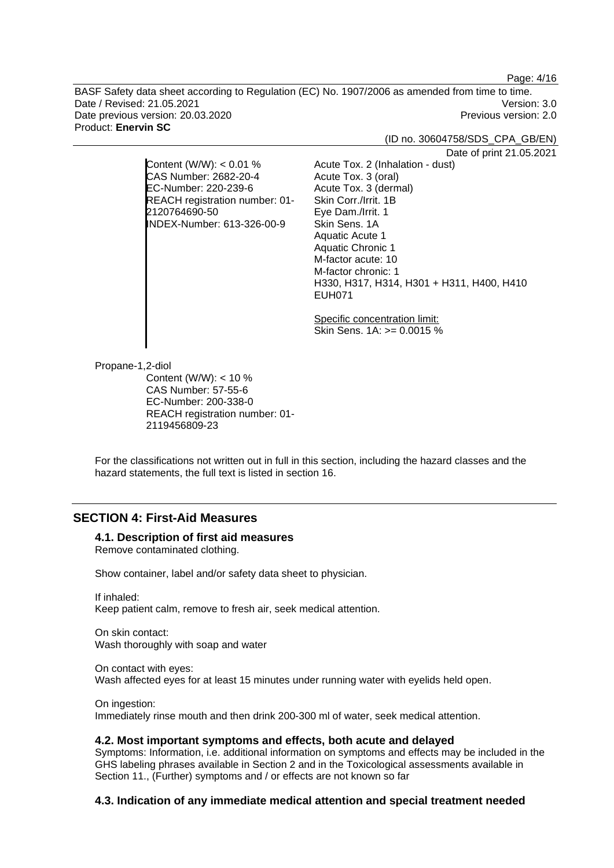Page: 4/16

BASF Safety data sheet according to Regulation (EC) No. 1907/2006 as amended from time to time. Date / Revised: 21.05.2021 Version: 3.0 Date previous version: 20.03.2020 **Previous version: 2.0** Previous version: 2.0 Product: **Enervin SC** 

(ID no. 30604758/SDS\_CPA\_GB/EN)

Date of print 21.05.2021

Content (W/W):  $< 0.01$  % CAS Number: 2682-20-4 EC-Number: 220-239-6 REACH registration number: 01- 2120764690-50 INDEX-Number: 613-326-00-9

> Specific concentration limit: Skin Sens. 1A: >= 0.0015 %

H330, H317, H314, H301 + H311, H400, H410

Acute Tox. 2 (Inhalation - dust)

Acute Tox. 3 (oral) Acute Tox. 3 (dermal) Skin Corr./Irrit. 1B Eye Dam./Irrit. 1 Skin Sens. 1A Aquatic Acute 1 Aquatic Chronic 1 M-factor acute: 10 M-factor chronic: 1

EUH071

Propane-1,2-diol

Content (W/W): < 10 % CAS Number: 57-55-6 EC-Number: 200-338-0 REACH registration number: 01- 2119456809-23

For the classifications not written out in full in this section, including the hazard classes and the hazard statements, the full text is listed in section 16.

## **SECTION 4: First-Aid Measures**

#### **4.1. Description of first aid measures**

Remove contaminated clothing.

Show container, label and/or safety data sheet to physician.

If inhaled: Keep patient calm, remove to fresh air, seek medical attention.

On skin contact: Wash thoroughly with soap and water

On contact with eyes: Wash affected eyes for at least 15 minutes under running water with eyelids held open.

On ingestion: Immediately rinse mouth and then drink 200-300 ml of water, seek medical attention.

#### **4.2. Most important symptoms and effects, both acute and delayed**

Symptoms: Information, i.e. additional information on symptoms and effects may be included in the GHS labeling phrases available in Section 2 and in the Toxicological assessments available in Section 11., (Further) symptoms and / or effects are not known so far

#### **4.3. Indication of any immediate medical attention and special treatment needed**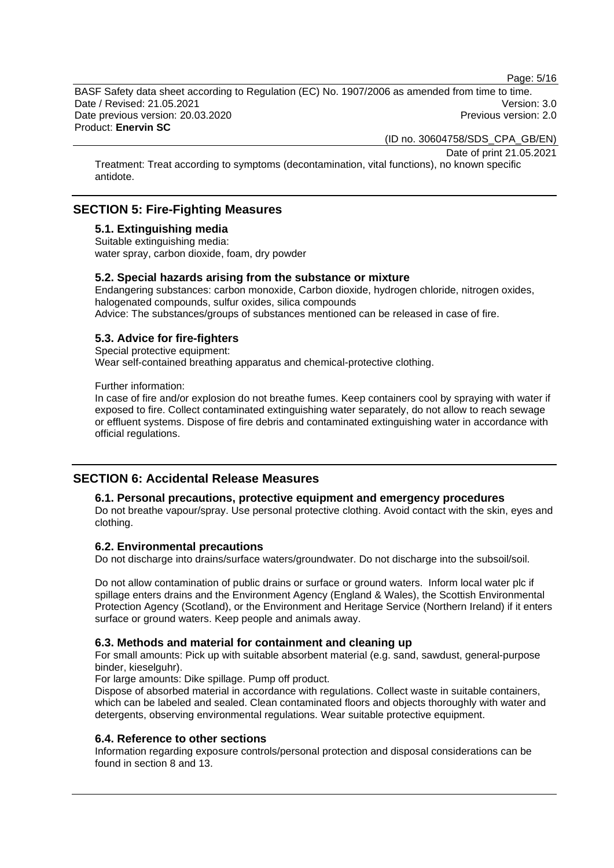Page: 5/16

BASF Safety data sheet according to Regulation (EC) No. 1907/2006 as amended from time to time. Date / Revised: 21.05.2021 Version: 3.0 Date previous version: 20.03.2020 <br>
Previous version: 2.0 Product: **Enervin SC** 

(ID no. 30604758/SDS\_CPA\_GB/EN)

Date of print 21.05.2021

Treatment: Treat according to symptoms (decontamination, vital functions), no known specific antidote.

## **SECTION 5: Fire-Fighting Measures**

#### **5.1. Extinguishing media**

Suitable extinguishing media: water spray, carbon dioxide, foam, dry powder

## **5.2. Special hazards arising from the substance or mixture**

Endangering substances: carbon monoxide, Carbon dioxide, hydrogen chloride, nitrogen oxides, halogenated compounds, sulfur oxides, silica compounds Advice: The substances/groups of substances mentioned can be released in case of fire.

## **5.3. Advice for fire-fighters**

Special protective equipment: Wear self-contained breathing apparatus and chemical-protective clothing.

Further information:

In case of fire and/or explosion do not breathe fumes. Keep containers cool by spraying with water if exposed to fire. Collect contaminated extinguishing water separately, do not allow to reach sewage or effluent systems. Dispose of fire debris and contaminated extinguishing water in accordance with official regulations.

## **SECTION 6: Accidental Release Measures**

#### **6.1. Personal precautions, protective equipment and emergency procedures**

Do not breathe vapour/spray. Use personal protective clothing. Avoid contact with the skin, eyes and clothing.

#### **6.2. Environmental precautions**

Do not discharge into drains/surface waters/groundwater. Do not discharge into the subsoil/soil.

Do not allow contamination of public drains or surface or ground waters. Inform local water plc if spillage enters drains and the Environment Agency (England & Wales), the Scottish Environmental Protection Agency (Scotland), or the Environment and Heritage Service (Northern Ireland) if it enters surface or ground waters. Keep people and animals away.

#### **6.3. Methods and material for containment and cleaning up**

For small amounts: Pick up with suitable absorbent material (e.g. sand, sawdust, general-purpose binder, kieselguhr).

For large amounts: Dike spillage. Pump off product.

Dispose of absorbed material in accordance with regulations. Collect waste in suitable containers, which can be labeled and sealed. Clean contaminated floors and objects thoroughly with water and detergents, observing environmental regulations. Wear suitable protective equipment.

## **6.4. Reference to other sections**

Information regarding exposure controls/personal protection and disposal considerations can be found in section 8 and 13.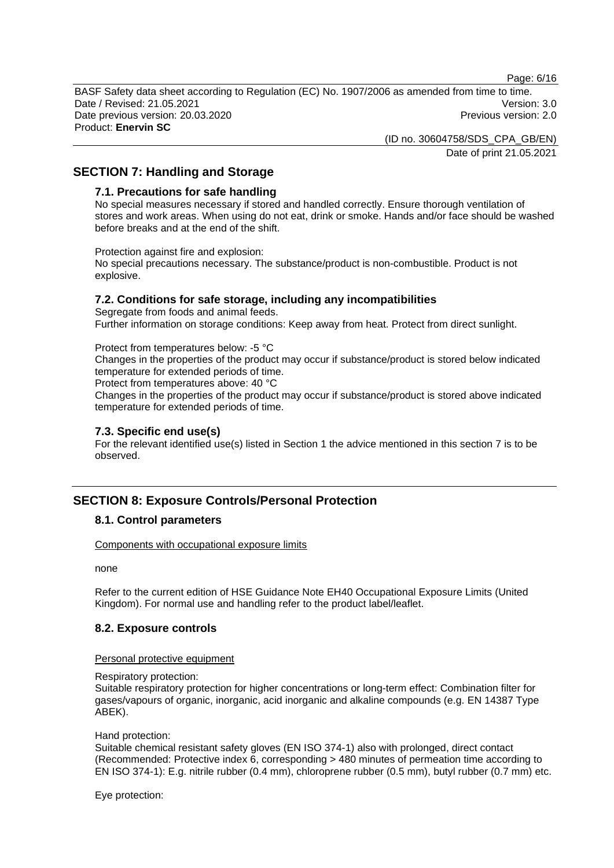Page: 6/16

BASF Safety data sheet according to Regulation (EC) No. 1907/2006 as amended from time to time. Date / Revised: 21.05.2021 Version: 3.0 Date previous version: 20.03.2020 **Previous version: 2.0** Previous version: 2.0 Product: **Enervin SC** 

> (ID no. 30604758/SDS\_CPA\_GB/EN) Date of print 21.05.2021

## **SECTION 7: Handling and Storage**

#### **7.1. Precautions for safe handling**

No special measures necessary if stored and handled correctly. Ensure thorough ventilation of stores and work areas. When using do not eat, drink or smoke. Hands and/or face should be washed before breaks and at the end of the shift.

Protection against fire and explosion:

No special precautions necessary. The substance/product is non-combustible. Product is not explosive.

## **7.2. Conditions for safe storage, including any incompatibilities**

Segregate from foods and animal feeds. Further information on storage conditions: Keep away from heat. Protect from direct sunlight.

Protect from temperatures below: -5 °C

Changes in the properties of the product may occur if substance/product is stored below indicated temperature for extended periods of time.

Protect from temperatures above: 40 °C

Changes in the properties of the product may occur if substance/product is stored above indicated temperature for extended periods of time.

#### **7.3. Specific end use(s)**

For the relevant identified use(s) listed in Section 1 the advice mentioned in this section 7 is to be observed.

## **SECTION 8: Exposure Controls/Personal Protection**

#### **8.1. Control parameters**

Components with occupational exposure limits

none

Refer to the current edition of HSE Guidance Note EH40 Occupational Exposure Limits (United Kingdom). For normal use and handling refer to the product label/leaflet.

#### **8.2. Exposure controls**

#### Personal protective equipment

#### Respiratory protection:

Suitable respiratory protection for higher concentrations or long-term effect: Combination filter for gases/vapours of organic, inorganic, acid inorganic and alkaline compounds (e.g. EN 14387 Type ABEK).

#### Hand protection:

Suitable chemical resistant safety gloves (EN ISO 374-1) also with prolonged, direct contact (Recommended: Protective index 6, corresponding > 480 minutes of permeation time according to EN ISO 374-1): E.g. nitrile rubber (0.4 mm), chloroprene rubber (0.5 mm), butyl rubber (0.7 mm) etc.

Eye protection: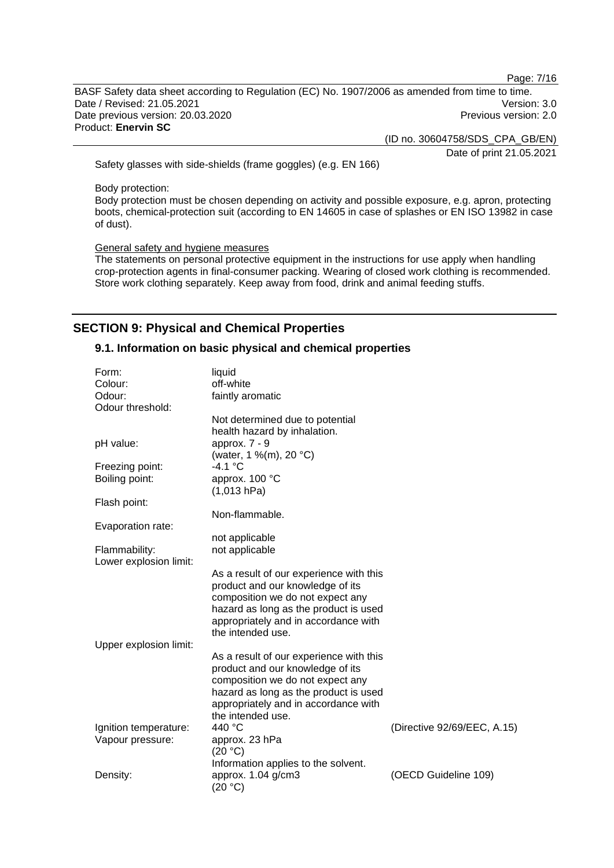Page: 7/16

BASF Safety data sheet according to Regulation (EC) No. 1907/2006 as amended from time to time. Date / Revised: 21.05.2021 Version: 3.0 Date previous version: 20.03.2020 **Previous version: 2.0** Previous version: 2.0 Product: **Enervin SC** 

(ID no. 30604758/SDS\_CPA\_GB/EN)

Date of print 21.05.2021

Safety glasses with side-shields (frame goggles) (e.g. EN 166)

Body protection:

Body protection must be chosen depending on activity and possible exposure, e.g. apron, protecting boots, chemical-protection suit (according to EN 14605 in case of splashes or EN ISO 13982 in case of dust).

General safety and hygiene measures

The statements on personal protective equipment in the instructions for use apply when handling crop-protection agents in final-consumer packing. Wearing of closed work clothing is recommended. Store work clothing separately. Keep away from food, drink and animal feeding stuffs.

## **SECTION 9: Physical and Chemical Properties**

## **9.1. Information on basic physical and chemical properties**

| Form:<br>Colour:<br>Odour:<br>Odour threshold: | liquid<br>off-white<br>faintly aromatic                                                                                                                                                                               |                             |
|------------------------------------------------|-----------------------------------------------------------------------------------------------------------------------------------------------------------------------------------------------------------------------|-----------------------------|
|                                                | Not determined due to potential<br>health hazard by inhalation.                                                                                                                                                       |                             |
| pH value:                                      | approx. 7 - 9<br>(water, 1 %(m), 20 °C)                                                                                                                                                                               |                             |
| Freezing point:                                | -4.1 °C                                                                                                                                                                                                               |                             |
| Boiling point:                                 | approx. 100 °C<br>(1,013 hPa)                                                                                                                                                                                         |                             |
| Flash point:                                   |                                                                                                                                                                                                                       |                             |
|                                                | Non-flammable.                                                                                                                                                                                                        |                             |
| Evaporation rate:                              | not applicable                                                                                                                                                                                                        |                             |
| Flammability:<br>Lower explosion limit:        | not applicable                                                                                                                                                                                                        |                             |
|                                                | As a result of our experience with this<br>product and our knowledge of its<br>composition we do not expect any<br>hazard as long as the product is used<br>appropriately and in accordance with<br>the intended use. |                             |
| Upper explosion limit:                         |                                                                                                                                                                                                                       |                             |
|                                                | As a result of our experience with this<br>product and our knowledge of its<br>composition we do not expect any<br>hazard as long as the product is used<br>appropriately and in accordance with                      |                             |
| Ignition temperature:                          | the intended use.<br>440 °C                                                                                                                                                                                           | (Directive 92/69/EEC, A.15) |
| Vapour pressure:                               | approx. 23 hPa                                                                                                                                                                                                        |                             |
|                                                | (20 °C)                                                                                                                                                                                                               |                             |
|                                                | Information applies to the solvent.                                                                                                                                                                                   |                             |
| Density:                                       | approx. $1.04$ g/cm3<br>(20 °C)                                                                                                                                                                                       | (OECD Guideline 109)        |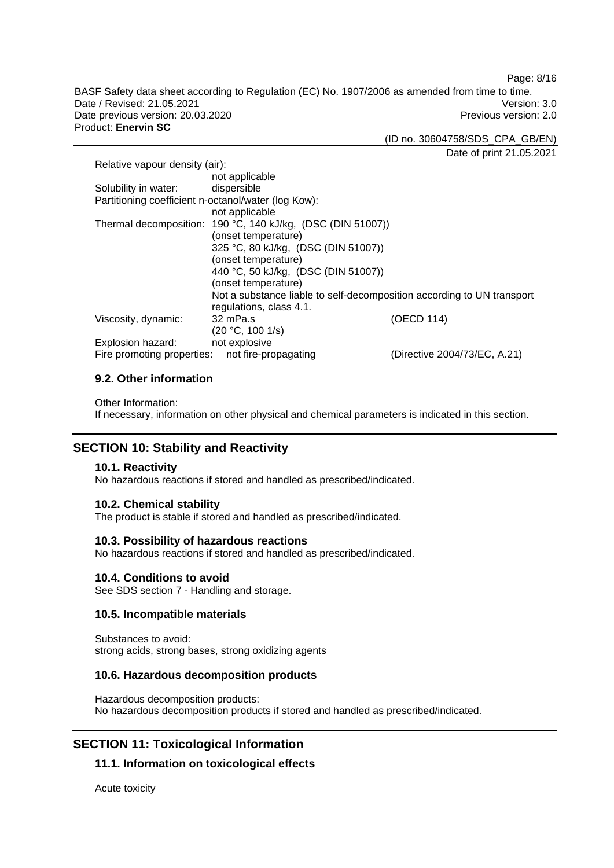Page: 8/16

BASF Safety data sheet according to Regulation (EC) No. 1907/2006 as amended from time to time. Date / Revised: 21.05.2021 Version: 3.0 Date previous version: 20.03.2020 **Previous version: 2.0** Previous version: 2.0 Product: **Enervin SC** 

(ID no. 30604758/SDS\_CPA\_GB/EN)

Date of print 21.05.2021

| Relative vapour density (air):                      |                                                                        |                              |
|-----------------------------------------------------|------------------------------------------------------------------------|------------------------------|
|                                                     | not applicable                                                         |                              |
| Solubility in water:                                | dispersible                                                            |                              |
| Partitioning coefficient n-octanol/water (log Kow): |                                                                        |                              |
|                                                     | not applicable                                                         |                              |
|                                                     | Thermal decomposition: 190 °C, 140 kJ/kg, (DSC (DIN 51007))            |                              |
|                                                     | (onset temperature)                                                    |                              |
|                                                     | 325 °C, 80 kJ/kg, (DSC (DIN 51007))                                    |                              |
|                                                     | (onset temperature)                                                    |                              |
|                                                     | 440 °C, 50 kJ/kg, (DSC (DIN 51007))                                    |                              |
|                                                     | (onset temperature)                                                    |                              |
|                                                     | Not a substance liable to self-decomposition according to UN transport |                              |
|                                                     | regulations, class 4.1.                                                |                              |
| Viscosity, dynamic:                                 | 32 mPa.s                                                               | (OECD 114)                   |
|                                                     | (20 °C, 100 1/s)                                                       |                              |
| Explosion hazard:                                   | not explosive                                                          |                              |
| Fire promoting properties:                          | not fire-propagating                                                   | (Directive 2004/73/EC, A.21) |

## **9.2. Other information**

Other Information: If necessary, information on other physical and chemical parameters is indicated in this section.

## **SECTION 10: Stability and Reactivity**

#### **10.1. Reactivity**

No hazardous reactions if stored and handled as prescribed/indicated.

### **10.2. Chemical stability**

The product is stable if stored and handled as prescribed/indicated.

#### **10.3. Possibility of hazardous reactions**

No hazardous reactions if stored and handled as prescribed/indicated.

#### **10.4. Conditions to avoid**

See SDS section 7 - Handling and storage.

## **10.5. Incompatible materials**

Substances to avoid: strong acids, strong bases, strong oxidizing agents

## **10.6. Hazardous decomposition products**

Hazardous decomposition products: No hazardous decomposition products if stored and handled as prescribed/indicated.

## **SECTION 11: Toxicological Information**

## **11.1. Information on toxicological effects**

Acute toxicity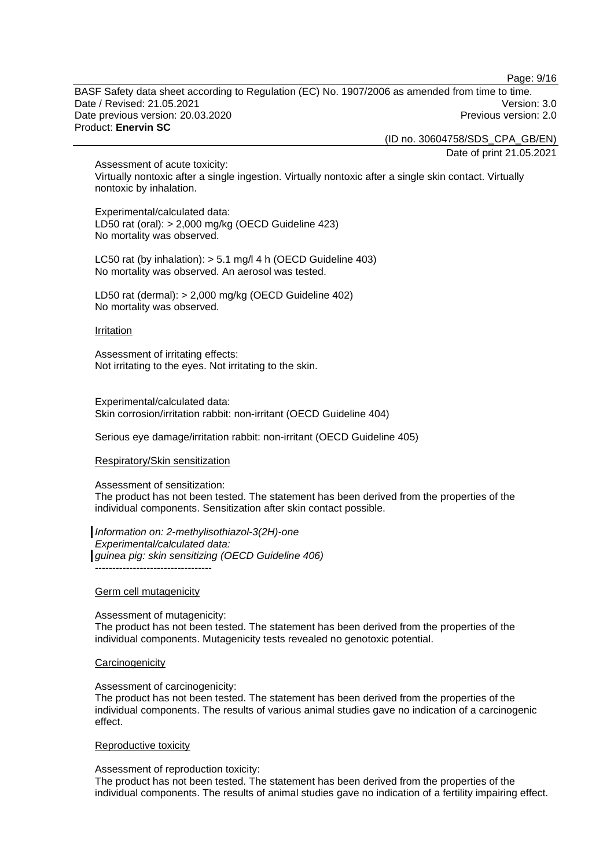Page: 9/16

BASF Safety data sheet according to Regulation (EC) No. 1907/2006 as amended from time to time. Date / Revised: 21.05.2021 Version: 3.0 Date previous version: 20.03.2020 **Previous version: 2.0** Previous version: 2.0 Product: **Enervin SC** 

(ID no. 30604758/SDS\_CPA\_GB/EN)

Date of print 21.05.2021

Assessment of acute toxicity: Virtually nontoxic after a single ingestion. Virtually nontoxic after a single skin contact. Virtually nontoxic by inhalation.

Experimental/calculated data: LD50 rat (oral): > 2,000 mg/kg (OECD Guideline 423) No mortality was observed.

LC50 rat (by inhalation): > 5.1 mg/l 4 h (OECD Guideline 403) No mortality was observed. An aerosol was tested.

LD50 rat (dermal): > 2,000 mg/kg (OECD Guideline 402) No mortality was observed.

#### Irritation

Assessment of irritating effects: Not irritating to the eyes. Not irritating to the skin.

Experimental/calculated data: Skin corrosion/irritation rabbit: non-irritant (OECD Guideline 404)

Serious eye damage/irritation rabbit: non-irritant (OECD Guideline 405)

#### Respiratory/Skin sensitization

#### Assessment of sensitization:

The product has not been tested. The statement has been derived from the properties of the individual components. Sensitization after skin contact possible.

*Information on: 2-methylisothiazol-3(2H)-one Experimental/calculated data: guinea pig: skin sensitizing (OECD Guideline 406)* ----------------------------------

#### Germ cell mutagenicity

Assessment of mutagenicity: The product has not been tested. The statement has been derived from the properties of the individual components. Mutagenicity tests revealed no genotoxic potential.

#### **Carcinogenicity**

#### Assessment of carcinogenicity:

The product has not been tested. The statement has been derived from the properties of the individual components. The results of various animal studies gave no indication of a carcinogenic effect.

#### Reproductive toxicity

Assessment of reproduction toxicity:

The product has not been tested. The statement has been derived from the properties of the individual components. The results of animal studies gave no indication of a fertility impairing effect.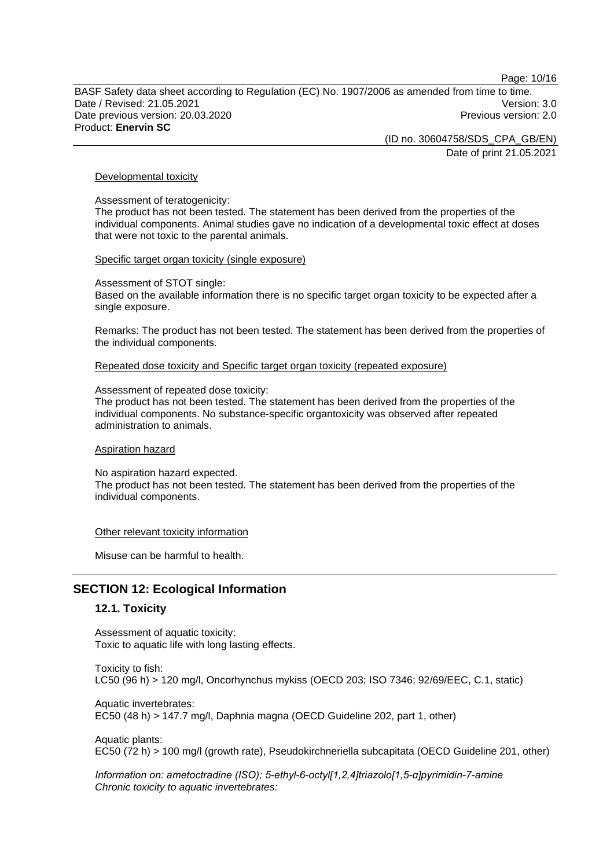Page: 10/16

BASF Safety data sheet according to Regulation (EC) No. 1907/2006 as amended from time to time. Date / Revised: 21.05.2021 Version: 3.0 Date previous version: 20.03.2020 **Previous version: 2.0** Previous version: 2.0 Product: **Enervin SC** 

> (ID no. 30604758/SDS\_CPA\_GB/EN) Date of print 21.05.2021

#### Developmental toxicity

Assessment of teratogenicity:

The product has not been tested. The statement has been derived from the properties of the individual components. Animal studies gave no indication of a developmental toxic effect at doses that were not toxic to the parental animals.

#### Specific target organ toxicity (single exposure)

Assessment of STOT single: Based on the available information there is no specific target organ toxicity to be expected after a single exposure.

Remarks: The product has not been tested. The statement has been derived from the properties of the individual components.

Repeated dose toxicity and Specific target organ toxicity (repeated exposure)

#### Assessment of repeated dose toxicity:

The product has not been tested. The statement has been derived from the properties of the individual components. No substance-specific organtoxicity was observed after repeated administration to animals.

#### Aspiration hazard

No aspiration hazard expected. The product has not been tested. The statement has been derived from the properties of the individual components.

#### Other relevant toxicity information

Misuse can be harmful to health.

## **SECTION 12: Ecological Information**

#### **12.1. Toxicity**

Assessment of aquatic toxicity: Toxic to aquatic life with long lasting effects.

Toxicity to fish: LC50 (96 h) > 120 mg/l, Oncorhynchus mykiss (OECD 203; ISO 7346; 92/69/EEC, C.1, static)

Aquatic invertebrates: EC50 (48 h) > 147.7 mg/l, Daphnia magna (OECD Guideline 202, part 1, other)

Aquatic plants: EC50 (72 h) > 100 mg/l (growth rate), Pseudokirchneriella subcapitata (OECD Guideline 201, other)

*Information on: ametoctradine (ISO); 5-ethyl-6-octyl[1,2,4]triazolo[1,5-α]pyrimidin-7-amine Chronic toxicity to aquatic invertebrates:*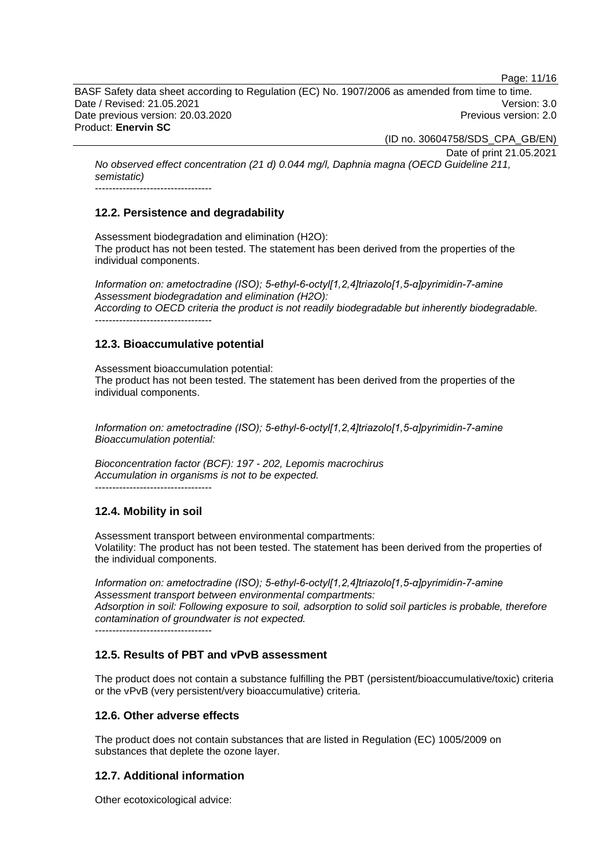Page: 11/16

BASF Safety data sheet according to Regulation (EC) No. 1907/2006 as amended from time to time. Date / Revised: 21.05.2021 Version: 3.0 Date previous version: 20.03.2020 **Previous version: 2.0** Previous version: 2.0 Product: **Enervin SC** 

(ID no. 30604758/SDS\_CPA\_GB/EN)

Date of print 21.05.2021

*No observed effect concentration (21 d) 0.044 mg/l, Daphnia magna (OECD Guideline 211, semistatic)*  ----------------------------------

## **12.2. Persistence and degradability**

Assessment biodegradation and elimination (H2O): The product has not been tested. The statement has been derived from the properties of the individual components.

*Information on: ametoctradine (ISO); 5-ethyl-6-octyl[1,2,4]triazolo[1,5-α]pyrimidin-7-amine Assessment biodegradation and elimination (H2O): According to OECD criteria the product is not readily biodegradable but inherently biodegradable.*  ----------------------------------

## **12.3. Bioaccumulative potential**

Assessment bioaccumulation potential: The product has not been tested. The statement has been derived from the properties of the individual components.

*Information on: ametoctradine (ISO); 5-ethyl-6-octyl[1,2,4]triazolo[1,5-α]pyrimidin-7-amine Bioaccumulation potential:* 

*Bioconcentration factor (BCF): 197 - 202, Lepomis macrochirus Accumulation in organisms is not to be expected.*  ----------------------------------

## **12.4. Mobility in soil**

Assessment transport between environmental compartments: Volatility: The product has not been tested. The statement has been derived from the properties of the individual components.

*Information on: ametoctradine (ISO); 5-ethyl-6-octyl[1,2,4]triazolo[1,5-α]pyrimidin-7-amine Assessment transport between environmental compartments: Adsorption in soil: Following exposure to soil, adsorption to solid soil particles is probable, therefore contamination of groundwater is not expected.* ----------------------------------

## **12.5. Results of PBT and vPvB assessment**

The product does not contain a substance fulfilling the PBT (persistent/bioaccumulative/toxic) criteria or the vPvB (very persistent/very bioaccumulative) criteria.

## **12.6. Other adverse effects**

The product does not contain substances that are listed in Regulation (EC) 1005/2009 on substances that deplete the ozone layer.

## **12.7. Additional information**

Other ecotoxicological advice: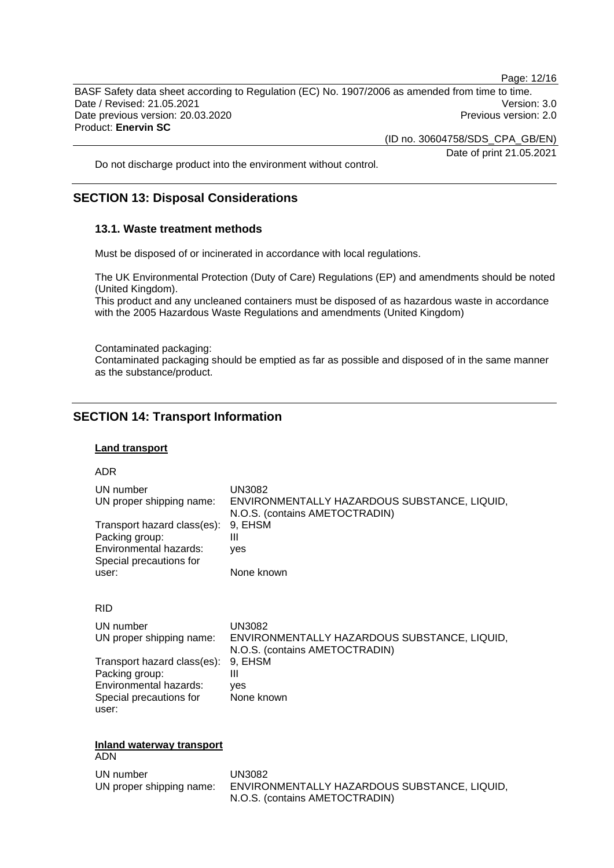Page: 12/16

BASF Safety data sheet according to Regulation (EC) No. 1907/2006 as amended from time to time. Date / Revised: 21.05.2021 Version: 3.0 Date previous version: 20.03.2020 **Previous version: 2.0** Previous version: 2.0 Product: **Enervin SC** 

(ID no. 30604758/SDS\_CPA\_GB/EN)

Date of print 21.05.2021

Do not discharge product into the environment without control.

## **SECTION 13: Disposal Considerations**

## **13.1. Waste treatment methods**

Must be disposed of or incinerated in accordance with local regulations.

The UK Environmental Protection (Duty of Care) Regulations (EP) and amendments should be noted (United Kingdom).

This product and any uncleaned containers must be disposed of as hazardous waste in accordance with the 2005 Hazardous Waste Regulations and amendments (United Kingdom)

Contaminated packaging:

Contaminated packaging should be emptied as far as possible and disposed of in the same manner as the substance/product.

## **SECTION 14: Transport Information**

#### **Land transport**

| UN number<br>UN proper shipping name:<br>Transport hazard class(es):<br>Packing group:<br>Environmental hazards:<br>Special precautions for<br>user: | <b>UN3082</b><br>ENVIRONMENTALLY HAZARDOUS SUBSTANCE, LIQUID,<br>N.O.S. (contains AMETOCTRADIN)<br>9. EHSM<br>Ш<br>ves<br>None known |
|------------------------------------------------------------------------------------------------------------------------------------------------------|--------------------------------------------------------------------------------------------------------------------------------------|
| <b>RID</b>                                                                                                                                           |                                                                                                                                      |
| UN number<br>UN proper shipping name:                                                                                                                | <b>UN3082</b><br>ENVIRONMENTALLY HAZARDOUS SUBSTANCE, LIQUID,<br>N.O.S. (contains AMETOCTRADIN)                                      |
| Transport hazard class(es):<br>Packing group:<br>Environmental hazards:<br>Special precautions for<br>user:                                          | 9, EHSM<br>Ш<br>ves<br>None known                                                                                                    |
| <b>Inland waterway transport</b><br><b>ADN</b>                                                                                                       |                                                                                                                                      |
| UN number<br>UN proper shipping name:                                                                                                                | <b>UN3082</b><br>ENVIRONMENTALLY HAZARDOUS SUBSTANCE, LIQUID,<br>N.O.S. (contains AMETOCTRADIN)                                      |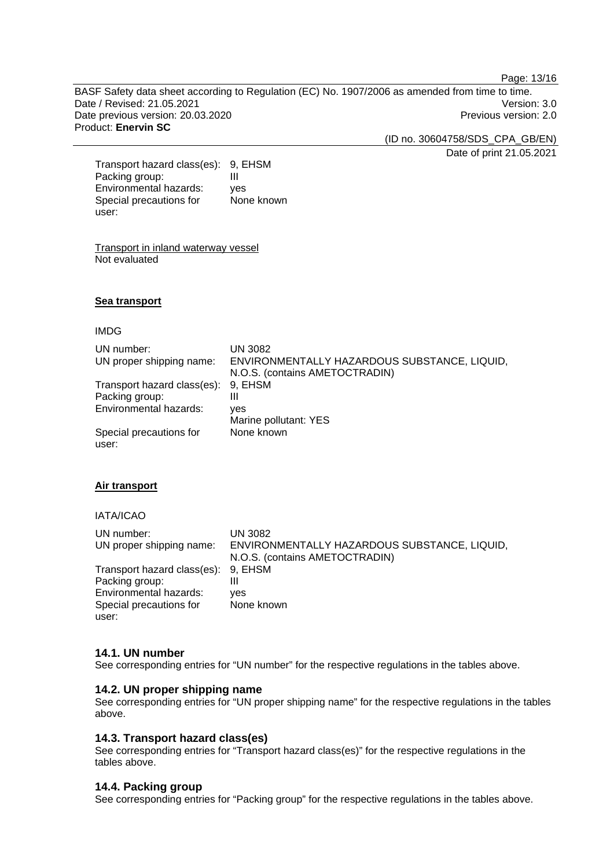Page: 13/16

BASF Safety data sheet according to Regulation (EC) No. 1907/2006 as amended from time to time. Date / Revised: 21.05.2021 Version: 3.0 Date previous version: 20.03.2020 **Previous version: 2.0** Previous version: 2.0 Product: **Enervin SC** 

(ID no. 30604758/SDS\_CPA\_GB/EN)

Date of print 21.05.2021

Transport hazard class(es): 9, EHSM Packing group: III Environmental hazards: yes Special precautions for user: None known

Transport in inland waterway vessel Not evaluated

## **Sea transport**

#### IMDG

| UN number:                       | UN 3082                                      |
|----------------------------------|----------------------------------------------|
| UN proper shipping name:         | ENVIRONMENTALLY HAZARDOUS SUBSTANCE, LIQUID, |
|                                  | N.O.S. (contains AMETOCTRADIN)               |
| Transport hazard class(es):      | 9. EHSM                                      |
| Packing group:                   | Ш                                            |
| Environmental hazards:           | yes                                          |
|                                  | Marine pollutant: YES                        |
| Special precautions for<br>user: | None known                                   |

## **Air transport**

IATA/ICAO

| UN number:<br>UN proper shipping name: | UN 3082<br>ENVIRONMENTALLY HAZARDOUS SUBSTANCE, LIQUID, |
|----------------------------------------|---------------------------------------------------------|
|                                        | N.O.S. (contains AMETOCTRADIN)                          |
| Transport hazard class(es): 9, EHSM    |                                                         |
| Packing group:                         | Ш                                                       |
| Environmental hazards:                 | ves                                                     |
| Special precautions for                | None known                                              |
| user:                                  |                                                         |

#### **14.1. UN number**

See corresponding entries for "UN number" for the respective regulations in the tables above.

## **14.2. UN proper shipping name**

See corresponding entries for "UN proper shipping name" for the respective regulations in the tables above.

## **14.3. Transport hazard class(es)**

See corresponding entries for "Transport hazard class(es)" for the respective regulations in the tables above.

#### **14.4. Packing group**

See corresponding entries for "Packing group" for the respective regulations in the tables above.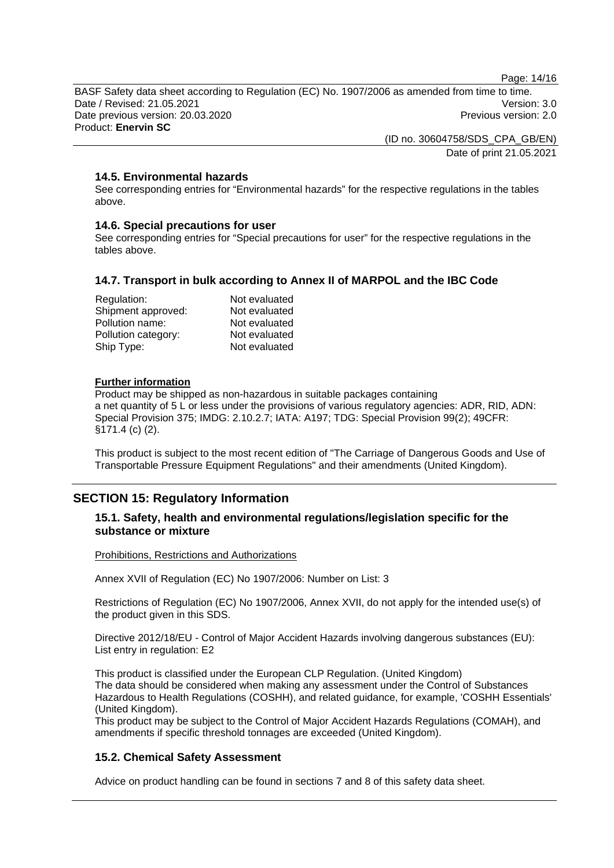Page: 14/16

BASF Safety data sheet according to Regulation (EC) No. 1907/2006 as amended from time to time. Date / Revised: 21.05.2021 Version: 3.0 Date previous version: 20.03.2020 **Previous version: 2.0** Previous version: 2.0 Product: **Enervin SC** 

> (ID no. 30604758/SDS\_CPA\_GB/EN) Date of print 21.05.2021

## **14.5. Environmental hazards**

See corresponding entries for "Environmental hazards" for the respective regulations in the tables above.

#### **14.6. Special precautions for user**

See corresponding entries for "Special precautions for user" for the respective regulations in the tables above.

## **14.7. Transport in bulk according to Annex II of MARPOL and the IBC Code**

| Regulation:         | Not evaluated |
|---------------------|---------------|
| Shipment approved:  | Not evaluated |
| Pollution name:     | Not evaluated |
| Pollution category: | Not evaluated |
| Ship Type:          | Not evaluated |

#### **Further information**

Product may be shipped as non-hazardous in suitable packages containing a net quantity of 5 L or less under the provisions of various regulatory agencies: ADR, RID, ADN: Special Provision 375; IMDG: 2.10.2.7; IATA: A197; TDG: Special Provision 99(2); 49CFR: §171.4 (c) (2).

This product is subject to the most recent edition of "The Carriage of Dangerous Goods and Use of Transportable Pressure Equipment Regulations" and their amendments (United Kingdom).

## **SECTION 15: Regulatory Information**

## **15.1. Safety, health and environmental regulations/legislation specific for the substance or mixture**

Prohibitions, Restrictions and Authorizations

Annex XVII of Regulation (EC) No 1907/2006: Number on List: 3

Restrictions of Regulation (EC) No 1907/2006, Annex XVII, do not apply for the intended use(s) of the product given in this SDS.

Directive 2012/18/EU - Control of Major Accident Hazards involving dangerous substances (EU): List entry in regulation: E2

This product is classified under the European CLP Regulation. (United Kingdom) The data should be considered when making any assessment under the Control of Substances Hazardous to Health Regulations (COSHH), and related guidance, for example, 'COSHH Essentials' (United Kingdom).

This product may be subject to the Control of Major Accident Hazards Regulations (COMAH), and amendments if specific threshold tonnages are exceeded (United Kingdom).

## **15.2. Chemical Safety Assessment**

Advice on product handling can be found in sections 7 and 8 of this safety data sheet.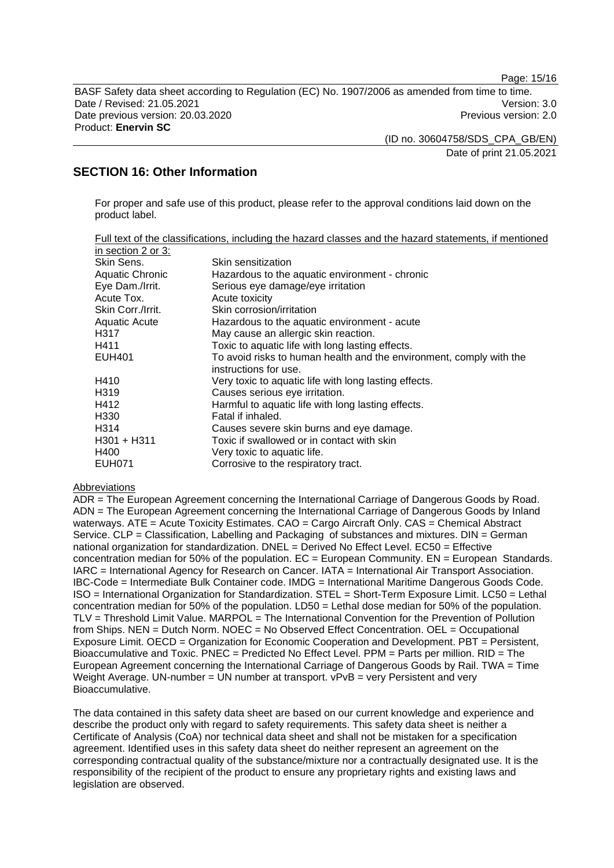Page: 15/16

BASF Safety data sheet according to Regulation (EC) No. 1907/2006 as amended from time to time. Date / Revised: 21.05.2021 Version: 3.0 Date previous version: 20.03.2020 **Previous version: 2.0** Previous version: 2.0 Product: **Enervin SC** 

(ID no. 30604758/SDS\_CPA\_GB/EN)

Date of print 21.05.2021

## **SECTION 16: Other Information**

For proper and safe use of this product, please refer to the approval conditions laid down on the product label.

|                      | Full text of the classifications, including the hazard classes and the hazard statements, if mentioned |
|----------------------|--------------------------------------------------------------------------------------------------------|
| in section 2 or 3:   |                                                                                                        |
| Skin Sens.           | Skin sensitization                                                                                     |
| Aquatic Chronic      | Hazardous to the aquatic environment - chronic                                                         |
| Eye Dam./Irrit.      | Serious eye damage/eye irritation                                                                      |
| Acute Tox.           | Acute toxicity                                                                                         |
| Skin Corr./Irrit.    | Skin corrosion/irritation                                                                              |
| <b>Aquatic Acute</b> | Hazardous to the aquatic environment - acute                                                           |
| H317                 | May cause an allergic skin reaction.                                                                   |
| H411                 | Toxic to aquatic life with long lasting effects.                                                       |
| <b>EUH401</b>        | To avoid risks to human health and the environment, comply with the<br>instructions for use.           |
| H410                 | Very toxic to aquatic life with long lasting effects.                                                  |
| H <sub>3</sub> 19    | Causes serious eye irritation.                                                                         |
| H412                 | Harmful to aquatic life with long lasting effects.                                                     |
| H <sub>330</sub>     | Fatal if inhaled.                                                                                      |
| H314                 | Causes severe skin burns and eye damage.                                                               |
| $H301 + H311$        | Toxic if swallowed or in contact with skin                                                             |
| H400                 | Very toxic to aquatic life.                                                                            |
| <b>EUH071</b>        | Corrosive to the respiratory tract.                                                                    |

#### Abbreviations

ADR = The European Agreement concerning the International Carriage of Dangerous Goods by Road. ADN = The European Agreement concerning the International Carriage of Dangerous Goods by Inland waterways. ATE = Acute Toxicity Estimates. CAO = Cargo Aircraft Only. CAS = Chemical Abstract Service. CLP = Classification, Labelling and Packaging of substances and mixtures. DIN = German national organization for standardization.  $DNEL = Derived No Effect Level. EC50 = Effective$ concentration median for 50% of the population.  $EC = European Community$ .  $EN = European Standards$ . IARC = International Agency for Research on Cancer. IATA = International Air Transport Association. IBC-Code = Intermediate Bulk Container code. IMDG = International Maritime Dangerous Goods Code. ISO = International Organization for Standardization. STEL = Short-Term Exposure Limit. LC50 = Lethal concentration median for 50% of the population. LD50 = Lethal dose median for 50% of the population. TLV = Threshold Limit Value. MARPOL = The International Convention for the Prevention of Pollution from Ships. NEN = Dutch Norm. NOEC = No Observed Effect Concentration. OEL = Occupational Exposure Limit. OECD = Organization for Economic Cooperation and Development. PBT = Persistent, Bioaccumulative and Toxic. PNEC = Predicted No Effect Level. PPM = Parts per million. RID = The European Agreement concerning the International Carriage of Dangerous Goods by Rail. TWA = Time Weight Average. UN-number = UN number at transport.  $vPvB = verv$  Persistent and very Bioaccumulative.

The data contained in this safety data sheet are based on our current knowledge and experience and describe the product only with regard to safety requirements. This safety data sheet is neither a Certificate of Analysis (CoA) nor technical data sheet and shall not be mistaken for a specification agreement. Identified uses in this safety data sheet do neither represent an agreement on the corresponding contractual quality of the substance/mixture nor a contractually designated use. It is the responsibility of the recipient of the product to ensure any proprietary rights and existing laws and legislation are observed.